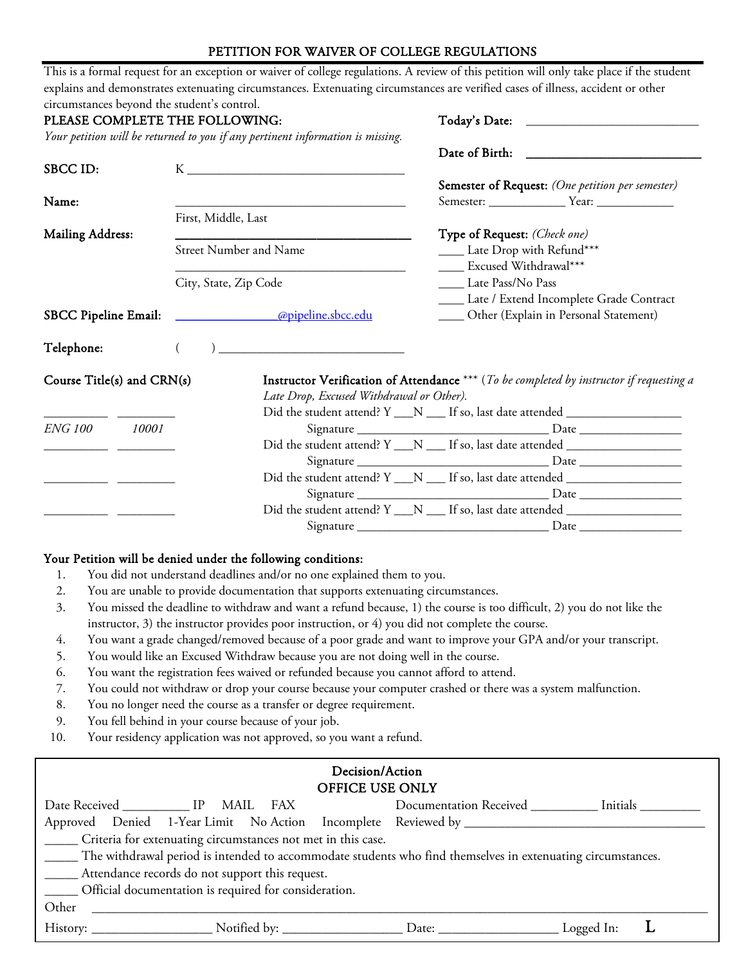## PETITION FOR WAIVER OF COLLEGE REGULATIONS

|                                | circumstances beyond the student's control. |                                                                                          |                                                               |                                                  |  |
|--------------------------------|---------------------------------------------|------------------------------------------------------------------------------------------|---------------------------------------------------------------|--------------------------------------------------|--|
| PLEASE COMPLETE THE FOLLOWING: |                                             |                                                                                          |                                                               |                                                  |  |
|                                |                                             | Your petition will be returned to you if any pertinent information is missing.           |                                                               |                                                  |  |
|                                |                                             |                                                                                          |                                                               |                                                  |  |
| SBCC ID:                       |                                             |                                                                                          |                                                               |                                                  |  |
|                                |                                             |                                                                                          |                                                               | Semester of Request: (One petition per semester) |  |
| Name:                          |                                             |                                                                                          |                                                               |                                                  |  |
|                                | First, Middle, Last                         |                                                                                          |                                                               |                                                  |  |
| <b>Mailing Address:</b>        |                                             |                                                                                          | Type of Request: (Check one)<br>____ Late Drop with Refund*** |                                                  |  |
|                                |                                             | <b>Street Number and Name</b>                                                            |                                                               |                                                  |  |
| City, State, Zip Code          |                                             |                                                                                          | ____ Excused Withdrawal***                                    |                                                  |  |
|                                |                                             |                                                                                          | Late Pass/No Pass                                             |                                                  |  |
|                                |                                             |                                                                                          | ____ Late / Extend Incomplete Grade Contract                  |                                                  |  |
| <b>SBCC Pipeline Email:</b>    |                                             | <u> apipeline.sbcc.edu</u>                                                               | ____ Other (Explain in Personal Statement)                    |                                                  |  |
|                                |                                             |                                                                                          |                                                               |                                                  |  |
| Telephone:                     |                                             |                                                                                          |                                                               |                                                  |  |
|                                |                                             | Instructor Verification of Attendance *** (To be completed by instructor if requesting a |                                                               |                                                  |  |
|                                |                                             |                                                                                          |                                                               |                                                  |  |
| Course Title(s) and CRN(s)     |                                             |                                                                                          |                                                               |                                                  |  |
|                                |                                             | Late Drop, Excused Withdrawal or Other).                                                 |                                                               |                                                  |  |
|                                |                                             | Did the student attend? Y __N __ If so, last date attended _____________________         |                                                               |                                                  |  |
|                                |                                             |                                                                                          |                                                               |                                                  |  |
|                                |                                             | Did the student attend? Y ___ N ___ If so, last date attended __________________         |                                                               |                                                  |  |
|                                |                                             |                                                                                          |                                                               |                                                  |  |
|                                |                                             | Did the student attend? Y ___ N ____ If so, last date attended _________________         |                                                               |                                                  |  |
| ENG 100 10001                  |                                             | Did the student attend? Y __N __ If so, last date attended _____________________         |                                                               |                                                  |  |

- 1. You did not understand deadlines and/or no one explained them to you.
- 2. You are unable to provide documentation that supports extenuating circumstances.
- 3. You missed the deadline to withdraw and want a refund because, 1) the course is too difficult, 2) you do not like the instructor, 3) the instructor provides poor instruction, or 4) you did not complete the course.
- 4. You want a grade changed/removed because of a poor grade and want to improve your GPA and/or your transcript.
- 5. You would like an Excused Withdraw because you are not doing well in the course.
- 6. You want the registration fees waived or refunded because you cannot afford to attend.
- 7. You could not withdraw or drop your course because your computer crashed or there was a system malfunction.
- 8. You no longer need the course as a transfer or degree requirement.
- 9. You fell behind in your course because of your job.
- 10. Your residency application was not approved, so you want a refund.

| Decision/Action                                                                                                    |                                                                                                                       |  |  |  |                                                   |  |  |  |  |  |
|--------------------------------------------------------------------------------------------------------------------|-----------------------------------------------------------------------------------------------------------------------|--|--|--|---------------------------------------------------|--|--|--|--|--|
| OFFICE USE ONLY                                                                                                    |                                                                                                                       |  |  |  |                                                   |  |  |  |  |  |
|                                                                                                                    | Date Received ______________ IP MAIL FAX                                                                              |  |  |  | Documentation Received _________ Initials _______ |  |  |  |  |  |
|                                                                                                                    |                                                                                                                       |  |  |  |                                                   |  |  |  |  |  |
| ______ Criteria for extenuating circumstances not met in this case.                                                |                                                                                                                       |  |  |  |                                                   |  |  |  |  |  |
| ______ The withdrawal period is intended to accommodate students who find themselves in extenuating circumstances. |                                                                                                                       |  |  |  |                                                   |  |  |  |  |  |
| _______ Attendance records do not support this request.                                                            |                                                                                                                       |  |  |  |                                                   |  |  |  |  |  |
| ______ Official documentation is required for consideration.                                                       |                                                                                                                       |  |  |  |                                                   |  |  |  |  |  |
| Other                                                                                                              | <u> 1989 - Jan Sterlân yn Sterlân ûntstien it ferstjin fan de oarste komme fan de oarste ferstjin fan de oarste f</u> |  |  |  |                                                   |  |  |  |  |  |
|                                                                                                                    |                                                                                                                       |  |  |  |                                                   |  |  |  |  |  |